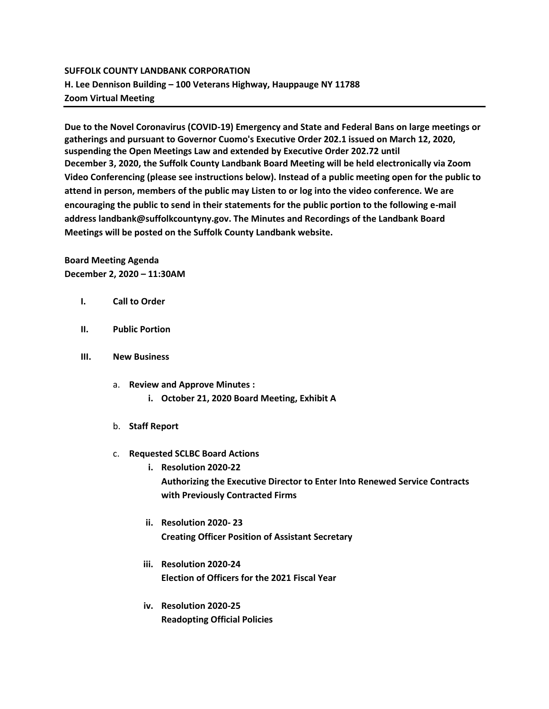## **SUFFOLK COUNTY LANDBANK CORPORATION H. Lee Dennison Building – 100 Veterans Highway, Hauppauge NY 11788 Zoom Virtual Meeting**

**Due to the Novel Coronavirus (COVID-19) Emergency and State and Federal Bans on large meetings or gatherings and pursuant to Governor Cuomo's Executive Order 202.1 issued on March 12, 2020, suspending the Open Meetings Law and extended by Executive Order 202.72 until December 3, 2020, the Suffolk County Landbank Board Meeting will be held electronically via Zoom Video Conferencing (please see instructions below). Instead of a public meeting open for the public to attend in person, members of the public may Listen to or log into the video conference. We are encouraging the public to send in their statements for the public portion to the following e-mail address landbank@suffolkcountyny.gov. The Minutes and Recordings of the Landbank Board Meetings will be posted on the Suffolk County Landbank website.**

## **Board Meeting Agenda December 2, 2020 – 11:30AM**

- **I. Call to Order**
- **II. Public Portion**
- **III. New Business**
	- a. **Review and Approve Minutes : i. October 21, 2020 Board Meeting, Exhibit A**
	- b. **Staff Report**
	- c. **Requested SCLBC Board Actions** 
		- **i. Resolution 2020-22 Authorizing the Executive Director to Enter Into Renewed Service Contracts with Previously Contracted Firms**
		- **ii. Resolution 2020- 23 Creating Officer Position of Assistant Secretary**
		- **iii. Resolution 2020-24 Election of Officers for the 2021 Fiscal Year**
		- **iv. Resolution 2020-25 Readopting Official Policies**